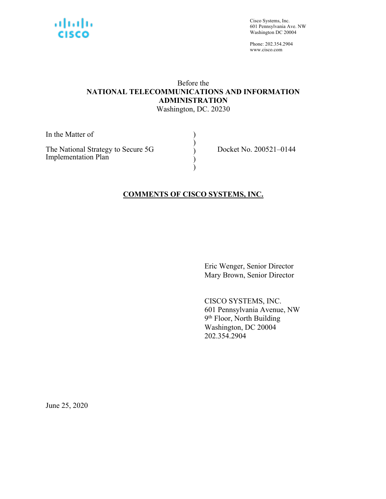

Cisco Systems, Inc. 601 Pennsylvania Ave. NW Washington DC 20004

Phone: 202.354.2904 www.cisco.com

# Before the **NATIONAL TELECOMMUNICATIONS AND INFORMATION ADMINISTRATION**

Washington, DC. 20230

) ) ) ) )

In the Matter of

The National Strategy to Secure 5G Implementation Plan

Docket No. 200521–0144

### **COMMENTS OF CISCO SYSTEMS, INC.**

Eric Wenger, Senior Director Mary Brown, Senior Director

CISCO SYSTEMS, INC. 601 Pennsylvania Avenue, NW 9<sup>th</sup> Floor, North Building Washington, DC 20004 202.354.2904

June 25, 2020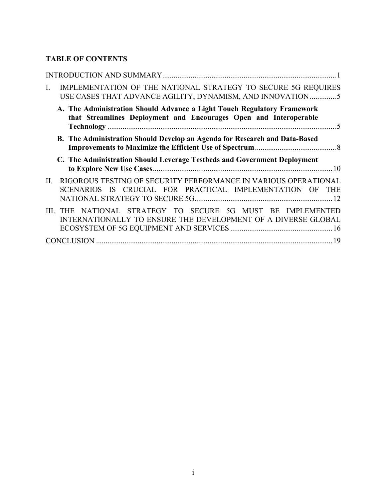### **TABLE OF CONTENTS**

| $\mathbf{I}$ . | IMPLEMENTATION OF THE NATIONAL STRATEGY TO SECURE 5G REQUIRES<br>USE CASES THAT ADVANCE AGILITY, DYNAMISM, AND INNOVATION5                   |
|----------------|----------------------------------------------------------------------------------------------------------------------------------------------|
|                | A. The Administration Should Advance a Light Touch Regulatory Framework<br>that Streamlines Deployment and Encourages Open and Interoperable |
|                | B. The Administration Should Develop an Agenda for Research and Data-Based                                                                   |
|                | C. The Administration Should Leverage Testbeds and Government Deployment                                                                     |
|                |                                                                                                                                              |
| II.            | RIGOROUS TESTING OF SECURITY PERFORMANCE IN VARIOUS OPERATIONAL<br>SCENARIOS IS CRUCIAL FOR PRACTICAL IMPLEMENTATION OF<br><b>THE</b>        |
|                | III. THE NATIONAL STRATEGY TO SECURE 5G MUST BE IMPLEMENTED<br>INTERNATIONALLY TO ENSURE THE DEVELOPMENT OF A DIVERSE GLOBAL                 |
|                |                                                                                                                                              |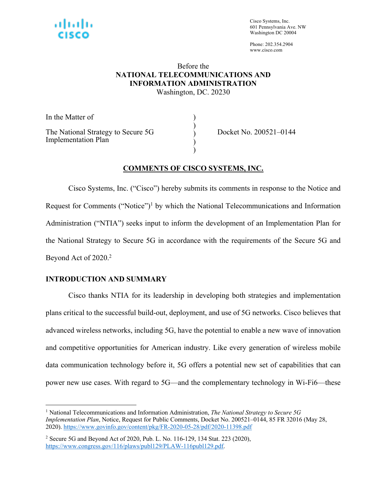

Cisco Systems, Inc. 601 Pennsylvania Ave. NW Washington DC 20004

Phone: 202.354.2904 www.cisco.com

# Before the **NATIONAL TELECOMMUNICATIONS AND INFORMATION ADMINISTRATION**

Washington, DC. 20230

) ) ) ) )

In the Matter of The National Strategy to Secure 5G Implementation Plan

Docket No. 200521–0144

#### **COMMENTS OF CISCO SYSTEMS, INC.**

Cisco Systems, Inc. ("Cisco") hereby submits its comments in response to the Notice and Request for Comments ("Notice")<sup>1</sup> by which the National Telecommunications and Information Administration ("NTIA") seeks input to inform the development of an Implementation Plan for the National Strategy to Secure 5G in accordance with the requirements of the Secure 5G and Beyond Act of 2020.<sup>2</sup>

#### **INTRODUCTION AND SUMMARY**

Cisco thanks NTIA for its leadership in developing both strategies and implementation plans critical to the successful build-out, deployment, and use of 5G networks. Cisco believes that advanced wireless networks, including 5G, have the potential to enable a new wave of innovation and competitive opportunities for American industry. Like every generation of wireless mobile data communication technology before it, 5G offers a potential new set of capabilities that can power new use cases. With regard to 5G—and the complementary technology in Wi-Fi6—these

<sup>1</sup> National Telecommunications and Information Administration, *The National Strategy to Secure 5G Implementation Plan*, Notice, Request for Public Comments, Docket No. 200521–0144, 85 FR 32016 (May 28, 2020). https://www.govinfo.gov/content/pkg/FR-2020-05-28/pdf/2020-11398.pdf

<sup>2</sup> Secure 5G and Beyond Act of 2020, Pub. L. No. 116-129, 134 Stat. 223 (2020), https://www.congress.gov/116/plaws/publ129/PLAW-116publ129.pdf.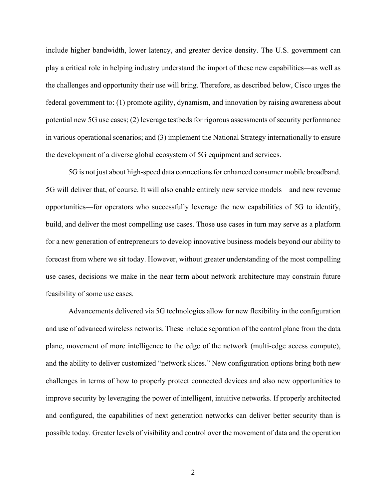include higher bandwidth, lower latency, and greater device density. The U.S. government can play a critical role in helping industry understand the import of these new capabilities—as well as the challenges and opportunity their use will bring. Therefore, as described below, Cisco urges the federal government to: (1) promote agility, dynamism, and innovation by raising awareness about potential new 5G use cases; (2) leverage testbeds for rigorous assessments of security performance in various operational scenarios; and (3) implement the National Strategy internationally to ensure the development of a diverse global ecosystem of 5G equipment and services.

5G is not just about high-speed data connections for enhanced consumer mobile broadband. 5G will deliver that, of course. It will also enable entirely new service models—and new revenue opportunities—for operators who successfully leverage the new capabilities of 5G to identify, build, and deliver the most compelling use cases. Those use cases in turn may serve as a platform for a new generation of entrepreneurs to develop innovative business models beyond our ability to forecast from where we sit today. However, without greater understanding of the most compelling use cases, decisions we make in the near term about network architecture may constrain future feasibility of some use cases.

Advancements delivered via 5G technologies allow for new flexibility in the configuration and use of advanced wireless networks. These include separation of the control plane from the data plane, movement of more intelligence to the edge of the network (multi-edge access compute), and the ability to deliver customized "network slices." New configuration options bring both new challenges in terms of how to properly protect connected devices and also new opportunities to improve security by leveraging the power of intelligent, intuitive networks. If properly architected and configured, the capabilities of next generation networks can deliver better security than is possible today. Greater levels of visibility and control over the movement of data and the operation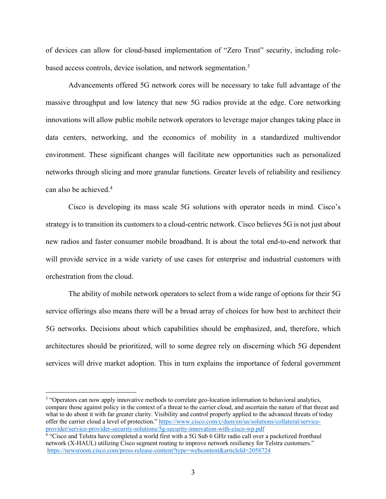of devices can allow for cloud-based implementation of "Zero Trust" security, including rolebased access controls, device isolation, and network segmentation.3

Advancements offered 5G network cores will be necessary to take full advantage of the massive throughput and low latency that new 5G radios provide at the edge. Core networking innovations will allow public mobile network operators to leverage major changes taking place in data centers, networking, and the economics of mobility in a standardized multivendor environment. These significant changes will facilitate new opportunities such as personalized networks through slicing and more granular functions. Greater levels of reliability and resiliency can also be achieved. 4

Cisco is developing its mass scale 5G solutions with operator needs in mind. Cisco's strategy is to transition its customers to a cloud-centric network. Cisco believes 5G is not just about new radios and faster consumer mobile broadband. It is about the total end-to-end network that will provide service in a wide variety of use cases for enterprise and industrial customers with orchestration from the cloud.

The ability of mobile network operators to select from a wide range of options for their 5G service offerings also means there will be a broad array of choices for how best to architect their 5G networks. Decisions about which capabilities should be emphasized, and, therefore, which architectures should be prioritized, will to some degree rely on discerning which 5G dependent services will drive market adoption. This in turn explains the importance of federal government

<sup>&</sup>lt;sup>3</sup> "Operators can now apply innovative methods to correlate geo-location information to behavioral analytics, compare those against policy in the context of a threat to the carrier cloud, and ascertain the nature of that threat and what to do about it with far greater clarity. Visibility and control properly applied to the advanced threats of today offer the carrier cloud a level of protection." https://www.cisco.com/c/dam/en/us/solutions/collateral/serviceprovider/service-provider-security-solutions/5g-security-innovation-with-cisco-wp.pdf

<sup>&</sup>lt;sup>4</sup> "Cisco and Telstra have completed a world first with a 5G Sub 6 GHz radio call over a packetized fronthaul network (X-HAUL) utilizing Cisco segment routing to improve network resiliency for Telstra customers." https://newsroom.cisco.com/press-release-content?type=webcontent&articleId=2058724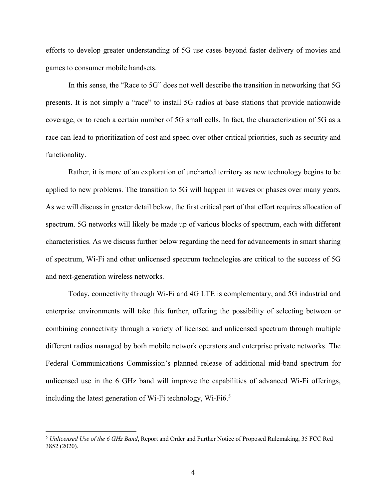efforts to develop greater understanding of 5G use cases beyond faster delivery of movies and games to consumer mobile handsets.

In this sense, the "Race to 5G" does not well describe the transition in networking that 5G presents. It is not simply a "race" to install 5G radios at base stations that provide nationwide coverage, or to reach a certain number of 5G small cells. In fact, the characterization of 5G as a race can lead to prioritization of cost and speed over other critical priorities, such as security and functionality.

Rather, it is more of an exploration of uncharted territory as new technology begins to be applied to new problems. The transition to 5G will happen in waves or phases over many years. As we will discuss in greater detail below, the first critical part of that effort requires allocation of spectrum. 5G networks will likely be made up of various blocks of spectrum, each with different characteristics. As we discuss further below regarding the need for advancements in smart sharing of spectrum, Wi-Fi and other unlicensed spectrum technologies are critical to the success of 5G and next-generation wireless networks.

Today, connectivity through Wi-Fi and 4G LTE is complementary, and 5G industrial and enterprise environments will take this further, offering the possibility of selecting between or combining connectivity through a variety of licensed and unlicensed spectrum through multiple different radios managed by both mobile network operators and enterprise private networks. The Federal Communications Commission's planned release of additional mid-band spectrum for unlicensed use in the 6 GHz band will improve the capabilities of advanced Wi-Fi offerings, including the latest generation of Wi-Fi technology, Wi-Fi6. 5

<sup>5</sup> *Unlicensed Use of the 6 GHz Band*, Report and Order and Further Notice of Proposed Rulemaking, 35 FCC Rcd 3852 (2020).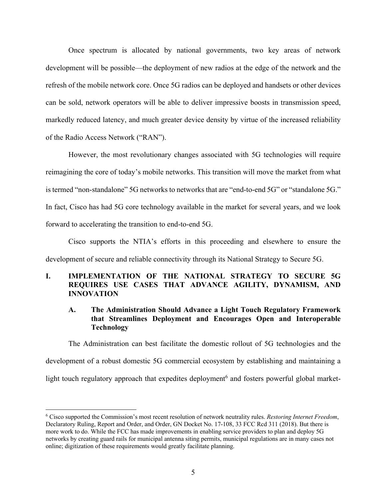Once spectrum is allocated by national governments, two key areas of network development will be possible—the deployment of new radios at the edge of the network and the refresh of the mobile network core. Once 5G radios can be deployed and handsets or other devices can be sold, network operators will be able to deliver impressive boosts in transmission speed, markedly reduced latency, and much greater device density by virtue of the increased reliability of the Radio Access Network ("RAN").

However, the most revolutionary changes associated with 5G technologies will require reimagining the core of today's mobile networks. This transition will move the market from what is termed "non-standalone" 5G networks to networks that are "end-to-end 5G" or "standalone 5G." In fact, Cisco has had 5G core technology available in the market for several years, and we look forward to accelerating the transition to end-to-end 5G.

Cisco supports the NTIA's efforts in this proceeding and elsewhere to ensure the development of secure and reliable connectivity through its National Strategy to Secure 5G.

#### **I. IMPLEMENTATION OF THE NATIONAL STRATEGY TO SECURE 5G REQUIRES USE CASES THAT ADVANCE AGILITY, DYNAMISM, AND INNOVATION**

#### **A. The Administration Should Advance a Light Touch Regulatory Framework that Streamlines Deployment and Encourages Open and Interoperable Technology**

The Administration can best facilitate the domestic rollout of 5G technologies and the development of a robust domestic 5G commercial ecosystem by establishing and maintaining a light touch regulatory approach that expedites deployment<sup>6</sup> and fosters powerful global market-

<sup>6</sup> Cisco supported the Commission's most recent resolution of network neutrality rules. *Restoring Internet Freedom*, Declaratory Ruling, Report and Order, and Order, GN Docket No. 17-108, 33 FCC Rcd 311 (2018). But there is more work to do. While the FCC has made improvements in enabling service providers to plan and deploy 5G networks by creating guard rails for municipal antenna siting permits, municipal regulations are in many cases not online; digitization of these requirements would greatly facilitate planning.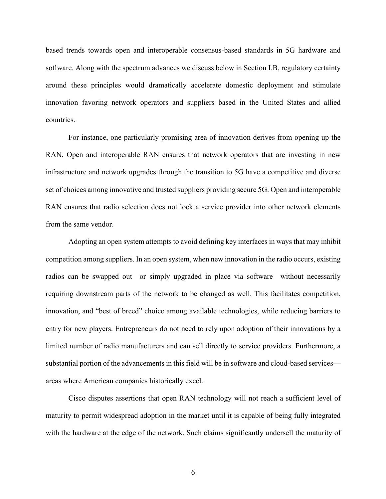based trends towards open and interoperable consensus-based standards in 5G hardware and software. Along with the spectrum advances we discuss below in Section I.B, regulatory certainty around these principles would dramatically accelerate domestic deployment and stimulate innovation favoring network operators and suppliers based in the United States and allied countries.

For instance, one particularly promising area of innovation derives from opening up the RAN. Open and interoperable RAN ensures that network operators that are investing in new infrastructure and network upgrades through the transition to 5G have a competitive and diverse set of choices among innovative and trusted suppliers providing secure 5G. Open and interoperable RAN ensures that radio selection does not lock a service provider into other network elements from the same vendor.

Adopting an open system attempts to avoid defining key interfaces in ways that may inhibit competition among suppliers. In an open system, when new innovation in the radio occurs, existing radios can be swapped out—or simply upgraded in place via software—without necessarily requiring downstream parts of the network to be changed as well. This facilitates competition, innovation, and "best of breed" choice among available technologies, while reducing barriers to entry for new players. Entrepreneurs do not need to rely upon adoption of their innovations by a limited number of radio manufacturers and can sell directly to service providers. Furthermore, a substantial portion of the advancements in this field will be in software and cloud-based services areas where American companies historically excel.

Cisco disputes assertions that open RAN technology will not reach a sufficient level of maturity to permit widespread adoption in the market until it is capable of being fully integrated with the hardware at the edge of the network. Such claims significantly undersell the maturity of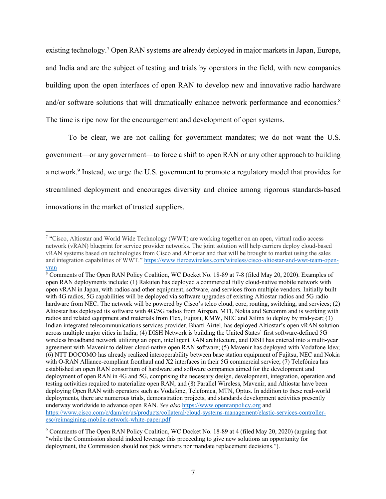existing technology.<sup>7</sup> Open RAN systems are already deployed in major markets in Japan, Europe, and India and are the subject of testing and trials by operators in the field, with new companies building upon the open interfaces of open RAN to develop new and innovative radio hardware and/or software solutions that will dramatically enhance network performance and economics.<sup>8</sup> The time is ripe now for the encouragement and development of open systems.

To be clear, we are not calling for government mandates; we do not want the U.S. government—or any government—to force a shift to open RAN or any other approach to building a network.9 Instead, we urge the U.S. government to promote a regulatory model that provides for streamlined deployment and encourages diversity and choice among rigorous standards-based innovations in the market of trusted suppliers.

<sup>7</sup> "Cisco, Altiostar and World Wide Technology (WWT) are working together on an open, virtual radio access network (vRAN) blueprint for service provider networks. The joint solution will help carriers deploy cloud-based vRAN systems based on technologies from Cisco and Altiostar and that will be brought to market using the sales and integration capabilities of WWT." https://www.fiercewireless.com/wireless/cisco-altiostar-and-wwt-team-openvran

<sup>8</sup> Comments of The Open RAN Policy Coalition, WC Docket No. 18-89 at 7-8 (filed May 20, 2020). Examples of open RAN deployments include: (1) Rakuten has deployed a commercial fully cloud-native mobile network with open vRAN in Japan, with radios and other equipment, software, and services from multiple vendors. Initially built with 4G radios, 5G capabilities will be deployed via software upgrades of existing Altiostar radios and 5G radio hardware from NEC. The network will be powered by Cisco's telco cloud, core, routing, switching, and services; (2) Altiostar has deployed its software with 4G/5G radios from Airspan, MTI, Nokia and Sercomm and is working with radios and related equipment and materials from Flex, Fujitsu, KMW, NEC and Xilinx to deploy by mid-year; (3) Indian integrated telecommunications services provider, Bharti Airtel, has deployed Altiostar's open vRAN solution across multiple major cities in India; (4) DISH Network is building the United States' first software-defined 5G wireless broadband network utilizing an open, intelligent RAN architecture, and DISH has entered into a multi-year agreement with Mavenir to deliver cloud-native open RAN software; (5) Mavenir has deployed with Vodafone Idea; (6) NTT DOCOMO has already realized interoperability between base station equipment of Fujitsu, NEC and Nokia with O-RAN Alliance-compliant fronthaul and X2 interfaces in their 5G commercial service; (7) Telefónica has established an open RAN consortium of hardware and software companies aimed for the development and deployment of open RAN in 4G and 5G, comprising the necessary design, development, integration, operation and testing activities required to materialize open RAN; and (8) Parallel Wireless, Mavenir, and Altiostar have been deploying Open RAN with operators such as Vodafone, Telefonica, MTN, Optus. In addition to these real-world deployments, there are numerous trials, demonstration projects, and standards development activities presently underway worldwide to advance open RAN. *See also* https://www.openranpolicy.org and https://www.cisco.com/c/dam/en/us/products/collateral/cloud-systems-management/elastic-services-controlleresc/reimagining-mobile-network-white-paper.pdf

<sup>9</sup> Comments of The Open RAN Policy Coalition, WC Docket No. 18-89 at 4 (filed May 20, 2020) (arguing that "while the Commission should indeed leverage this proceeding to give new solutions an opportunity for deployment, the Commission should not pick winners nor mandate replacement decisions.").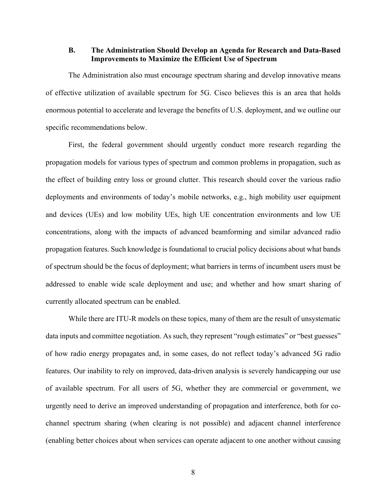#### **B. The Administration Should Develop an Agenda for Research and Data-Based Improvements to Maximize the Efficient Use of Spectrum**

The Administration also must encourage spectrum sharing and develop innovative means of effective utilization of available spectrum for 5G. Cisco believes this is an area that holds enormous potential to accelerate and leverage the benefits of U.S. deployment, and we outline our specific recommendations below.

First, the federal government should urgently conduct more research regarding the propagation models for various types of spectrum and common problems in propagation, such as the effect of building entry loss or ground clutter. This research should cover the various radio deployments and environments of today's mobile networks, e.g., high mobility user equipment and devices (UEs) and low mobility UEs, high UE concentration environments and low UE concentrations, along with the impacts of advanced beamforming and similar advanced radio propagation features. Such knowledge is foundational to crucial policy decisions about what bands of spectrum should be the focus of deployment; what barriers in terms of incumbent users must be addressed to enable wide scale deployment and use; and whether and how smart sharing of currently allocated spectrum can be enabled.

While there are ITU-R models on these topics, many of them are the result of unsystematic data inputs and committee negotiation. As such, they represent "rough estimates" or "best guesses" of how radio energy propagates and, in some cases, do not reflect today's advanced 5G radio features. Our inability to rely on improved, data-driven analysis is severely handicapping our use of available spectrum. For all users of 5G, whether they are commercial or government, we urgently need to derive an improved understanding of propagation and interference, both for cochannel spectrum sharing (when clearing is not possible) and adjacent channel interference (enabling better choices about when services can operate adjacent to one another without causing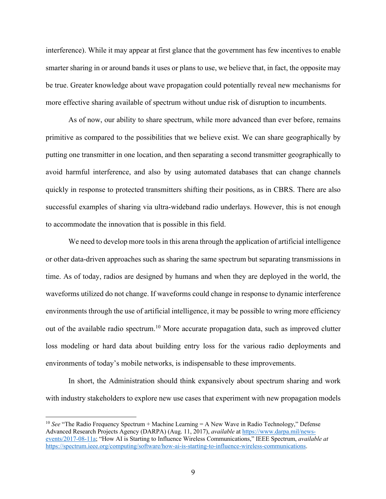interference). While it may appear at first glance that the government has few incentives to enable smarter sharing in or around bands it uses or plans to use, we believe that, in fact, the opposite may be true. Greater knowledge about wave propagation could potentially reveal new mechanisms for more effective sharing available of spectrum without undue risk of disruption to incumbents.

As of now, our ability to share spectrum, while more advanced than ever before, remains primitive as compared to the possibilities that we believe exist. We can share geographically by putting one transmitter in one location, and then separating a second transmitter geographically to avoid harmful interference, and also by using automated databases that can change channels quickly in response to protected transmitters shifting their positions, as in CBRS. There are also successful examples of sharing via ultra-wideband radio underlays. However, this is not enough to accommodate the innovation that is possible in this field.

We need to develop more tools in this arena through the application of artificial intelligence or other data-driven approaches such as sharing the same spectrum but separating transmissions in time. As of today, radios are designed by humans and when they are deployed in the world, the waveforms utilized do not change. If waveforms could change in response to dynamic interference environments through the use of artificial intelligence, it may be possible to wring more efficiency out of the available radio spectrum.<sup>10</sup> More accurate propagation data, such as improved clutter loss modeling or hard data about building entry loss for the various radio deployments and environments of today's mobile networks, is indispensable to these improvements.

In short, the Administration should think expansively about spectrum sharing and work with industry stakeholders to explore new use cases that experiment with new propagation models

<sup>&</sup>lt;sup>10</sup> See "The Radio Frequency Spectrum + Machine Learning = A New Wave in Radio Technology," Defense Advanced Research Projects Agency (DARPA) (Aug. 11, 2017), *available* at https://www.darpa.mil/newsevents/2017-08-11a; "How AI is Starting to Influence Wireless Communications," IEEE Spectrum, *available at*  https://spectrum.ieee.org/computing/software/how-ai-is-starting-to-influence-wireless-communications.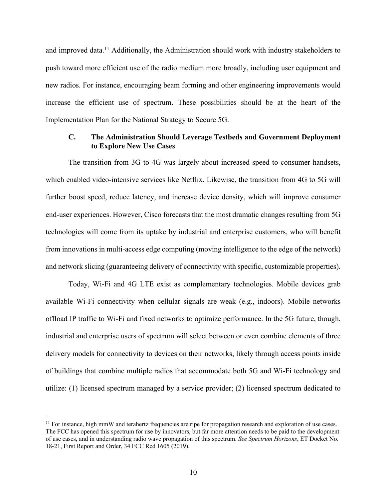and improved data.<sup>11</sup> Additionally, the Administration should work with industry stakeholders to push toward more efficient use of the radio medium more broadly, including user equipment and new radios. For instance, encouraging beam forming and other engineering improvements would increase the efficient use of spectrum. These possibilities should be at the heart of the Implementation Plan for the National Strategy to Secure 5G.

#### **C. The Administration Should Leverage Testbeds and Government Deployment to Explore New Use Cases**

The transition from 3G to 4G was largely about increased speed to consumer handsets, which enabled video-intensive services like Netflix. Likewise, the transition from 4G to 5G will further boost speed, reduce latency, and increase device density, which will improve consumer end-user experiences. However, Cisco forecasts that the most dramatic changes resulting from 5G technologies will come from its uptake by industrial and enterprise customers, who will benefit from innovations in multi-access edge computing (moving intelligence to the edge of the network) and network slicing (guaranteeing delivery of connectivity with specific, customizable properties).

Today, Wi-Fi and 4G LTE exist as complementary technologies. Mobile devices grab available Wi-Fi connectivity when cellular signals are weak (e.g., indoors). Mobile networks offload IP traffic to Wi-Fi and fixed networks to optimize performance. In the 5G future, though, industrial and enterprise users of spectrum will select between or even combine elements of three delivery models for connectivity to devices on their networks, likely through access points inside of buildings that combine multiple radios that accommodate both 5G and Wi-Fi technology and utilize: (1) licensed spectrum managed by a service provider; (2) licensed spectrum dedicated to

 $11$  For instance, high mmW and terahertz frequencies are ripe for propagation research and exploration of use cases. The FCC has opened this spectrum for use by innovators, but far more attention needs to be paid to the development of use cases, and in understanding radio wave propagation of this spectrum. *See Spectrum Horizons*, ET Docket No. 18-21, First Report and Order, 34 FCC Rcd 1605 (2019).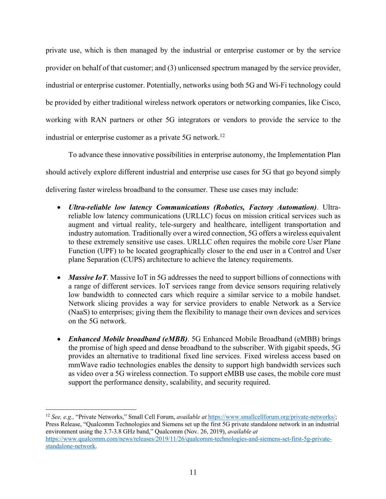private use, which is then managed by the industrial or enterprise customer or by the service provider on behalf of that customer; and (3) unlicensed spectrum managed by the service provider, industrial or enterprise customer. Potentially, networks using both 5G and Wi-Fi technology could be provided by either traditional wireless network operators or networking companies, like Cisco, working with RAN partners or other 5G integrators or vendors to provide the service to the industrial or enterprise customer as a private 5G network.<sup>12</sup>

To advance these innovative possibilities in enterprise autonomy, the Implementation Plan should actively explore different industrial and enterprise use cases for 5G that go beyond simply delivering faster wireless broadband to the consumer. These use cases may include:

- *Ultra-reliable low latency Communications (Robotics, Factory Automation)*. Ultrareliable low latency communications (URLLC) focus on mission critical services such as augment and virtual reality, tele-surgery and healthcare, intelligent transportation and industry automation. Traditionally over a wired connection, 5G offers a wireless equivalent to these extremely sensitive use cases. URLLC often requires the mobile core User Plane Function (UPF) to be located geographically closer to the end user in a Control and User plane Separation (CUPS) architecture to achieve the latency requirements.
- *Massive IoT*. Massive IoT in 5G addresses the need to support billions of connections with a range of different services. IoT services range from device sensors requiring relatively low bandwidth to connected cars which require a similar service to a mobile handset. Network slicing provides a way for service providers to enable Network as a Service (NaaS) to enterprises; giving them the flexibility to manage their own devices and services on the 5G network.
- *Enhanced Mobile broadband (eMBB)*. 5G Enhanced Mobile Broadband (eMBB) brings the promise of high speed and dense broadband to the subscriber. With gigabit speeds, 5G provides an alternative to traditional fixed line services. Fixed wireless access based on mmWave radio technologies enables the density to support high bandwidth services such as video over a 5G wireless connection. To support eMBB use cases, the mobile core must support the performance density, scalability, and security required.

<sup>12</sup> *See, e.g.,* "Private Networks," Small Cell Forum, *available at* https://www.smallcellforum.org/private-networks/; Press Release, "Qualcomm Technologies and Siemens set up the first 5G private standalone network in an industrial environment using the 3.7-3.8 GHz band," Qualcomm (Nov. 26, 2019), *available at*  https://www.qualcomm.com/news/releases/2019/11/26/qualcomm-technologies-and-siemens-set-first-5g-privatestandalone-network.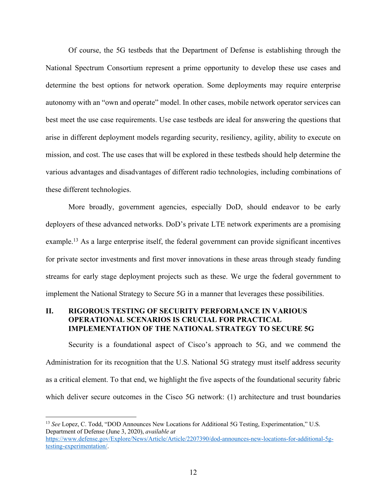Of course, the 5G testbeds that the Department of Defense is establishing through the National Spectrum Consortium represent a prime opportunity to develop these use cases and determine the best options for network operation. Some deployments may require enterprise autonomy with an "own and operate" model. In other cases, mobile network operator services can best meet the use case requirements. Use case testbeds are ideal for answering the questions that arise in different deployment models regarding security, resiliency, agility, ability to execute on mission, and cost. The use cases that will be explored in these testbeds should help determine the various advantages and disadvantages of different radio technologies, including combinations of these different technologies.

More broadly, government agencies, especially DoD, should endeavor to be early deployers of these advanced networks. DoD's private LTE network experiments are a promising example.<sup>13</sup> As a large enterprise itself, the federal government can provide significant incentives for private sector investments and first mover innovations in these areas through steady funding streams for early stage deployment projects such as these. We urge the federal government to implement the National Strategy to Secure 5G in a manner that leverages these possibilities.

#### **II. RIGOROUS TESTING OF SECURITY PERFORMANCE IN VARIOUS OPERATIONAL SCENARIOS IS CRUCIAL FOR PRACTICAL IMPLEMENTATION OF THE NATIONAL STRATEGY TO SECURE 5G**

Security is a foundational aspect of Cisco's approach to 5G, and we commend the Administration for its recognition that the U.S. National 5G strategy must itself address security as a critical element. To that end, we highlight the five aspects of the foundational security fabric which deliver secure outcomes in the Cisco 5G network: (1) architecture and trust boundaries

<sup>13</sup> *See* Lopez, C. Todd, "DOD Announces New Locations for Additional 5G Testing, Experimentation," U.S. Department of Defense (June 3, 2020), *available at*

https://www.defense.gov/Explore/News/Article/Article/2207390/dod-announces-new-locations-for-additional-5gtesting-experimentation/.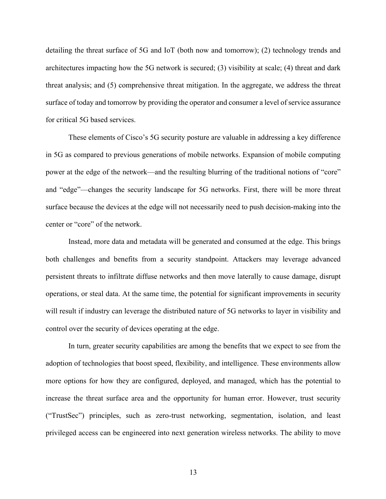detailing the threat surface of 5G and IoT (both now and tomorrow); (2) technology trends and architectures impacting how the 5G network is secured; (3) visibility at scale; (4) threat and dark threat analysis; and (5) comprehensive threat mitigation. In the aggregate, we address the threat surface of today and tomorrow by providing the operator and consumer a level of service assurance for critical 5G based services.

These elements of Cisco's 5G security posture are valuable in addressing a key difference in 5G as compared to previous generations of mobile networks. Expansion of mobile computing power at the edge of the network—and the resulting blurring of the traditional notions of "core" and "edge"—changes the security landscape for 5G networks. First, there will be more threat surface because the devices at the edge will not necessarily need to push decision-making into the center or "core" of the network.

Instead, more data and metadata will be generated and consumed at the edge. This brings both challenges and benefits from a security standpoint. Attackers may leverage advanced persistent threats to infiltrate diffuse networks and then move laterally to cause damage, disrupt operations, or steal data. At the same time, the potential for significant improvements in security will result if industry can leverage the distributed nature of 5G networks to layer in visibility and control over the security of devices operating at the edge.

In turn, greater security capabilities are among the benefits that we expect to see from the adoption of technologies that boost speed, flexibility, and intelligence. These environments allow more options for how they are configured, deployed, and managed, which has the potential to increase the threat surface area and the opportunity for human error. However, trust security ("TrustSec") principles, such as zero-trust networking, segmentation, isolation, and least privileged access can be engineered into next generation wireless networks. The ability to move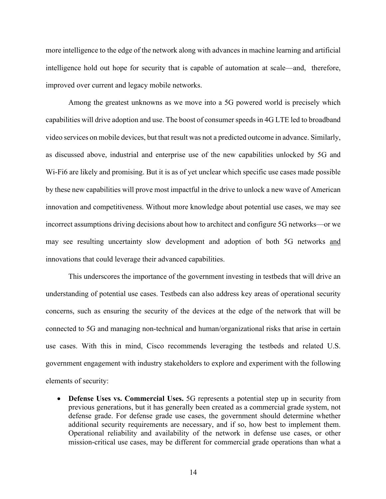more intelligence to the edge of the network along with advances in machine learning and artificial intelligence hold out hope for security that is capable of automation at scale—and, therefore, improved over current and legacy mobile networks.

Among the greatest unknowns as we move into a 5G powered world is precisely which capabilities will drive adoption and use. The boost of consumer speeds in 4G LTE led to broadband video services on mobile devices, but that result was not a predicted outcome in advance. Similarly, as discussed above, industrial and enterprise use of the new capabilities unlocked by 5G and Wi-Fi6 are likely and promising. But it is as of yet unclear which specific use cases made possible by these new capabilities will prove most impactful in the drive to unlock a new wave of American innovation and competitiveness. Without more knowledge about potential use cases, we may see incorrect assumptions driving decisions about how to architect and configure 5G networks—or we may see resulting uncertainty slow development and adoption of both 5G networks and innovations that could leverage their advanced capabilities.

This underscores the importance of the government investing in testbeds that will drive an understanding of potential use cases. Testbeds can also address key areas of operational security concerns, such as ensuring the security of the devices at the edge of the network that will be connected to 5G and managing non-technical and human/organizational risks that arise in certain use cases. With this in mind, Cisco recommends leveraging the testbeds and related U.S. government engagement with industry stakeholders to explore and experiment with the following elements of security:

• **Defense Uses vs. Commercial Uses.** 5G represents a potential step up in security from previous generations, but it has generally been created as a commercial grade system, not defense grade. For defense grade use cases, the government should determine whether additional security requirements are necessary, and if so, how best to implement them. Operational reliability and availability of the network in defense use cases, or other mission-critical use cases, may be different for commercial grade operations than what a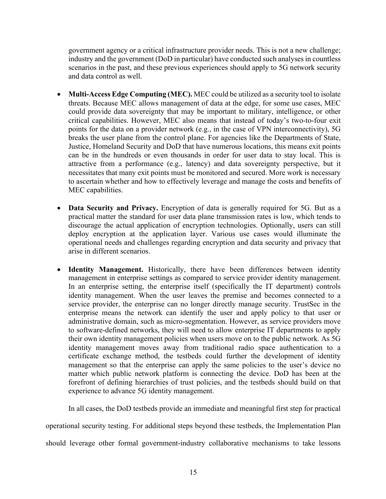government agency or a critical infrastructure provider needs. This is not a new challenge; industry and the government (DoD in particular) have conducted such analyses in countless scenarios in the past, and these previous experiences should apply to 5G network security and data control as well.

- **Multi-Access Edge Computing (MEC).** MEC could be utilized as a security tool to isolate threats. Because MEC allows management of data at the edge, for some use cases, MEC could provide data sovereignty that may be important to military, intelligence, or other critical capabilities. However, MEC also means that instead of today's two-to-four exit points for the data on a provider network (e.g., in the case of VPN interconnectivity), 5G breaks the user plane from the control plane. For agencies like the Departments of State, Justice, Homeland Security and DoD that have numerous locations, this means exit points can be in the hundreds or even thousands in order for user data to stay local. This is attractive from a performance (e.g., latency) and data sovereignty perspective, but it necessitates that many exit points must be monitored and secured. More work is necessary to ascertain whether and how to effectively leverage and manage the costs and benefits of MEC capabilities.
- **Data Security and Privacy.** Encryption of data is generally required for 5G. But as a practical matter the standard for user data plane transmission rates is low, which tends to discourage the actual application of encryption technologies. Optionally, users can still deploy encryption at the application layer. Various use cases would illuminate the operational needs and challenges regarding encryption and data security and privacy that arise in different scenarios.
- **Identity Management.** Historically, there have been differences between identity management in enterprise settings as compared to service provider identity management. In an enterprise setting, the enterprise itself (specifically the IT department) controls identity management. When the user leaves the premise and becomes connected to a service provider, the enterprise can no longer directly manage security. TrustSec in the enterprise means the network can identify the user and apply policy to that user or administrative domain, such as micro-segmentation. However, as service providers move to software-defined networks, they will need to allow enterprise IT departments to apply their own identity management policies when users move on to the public network. As 5G identity management moves away from traditional radio space authentication to a certificate exchange method, the testbeds could further the development of identity management so that the enterprise can apply the same policies to the user's device no matter which public network platform is connecting the device. DoD has been at the forefront of defining hierarchies of trust policies, and the testbeds should build on that experience to advance 5G identity management.

In all cases, the DoD testbeds provide an immediate and meaningful first step for practical

operational security testing. For additional steps beyond these testbeds, the Implementation Plan

should leverage other formal government-industry collaborative mechanisms to take lessons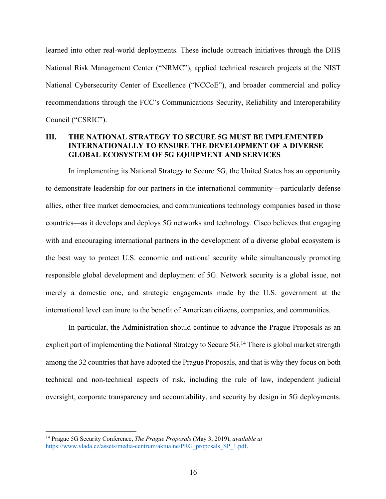learned into other real-world deployments. These include outreach initiatives through the DHS National Risk Management Center ("NRMC"), applied technical research projects at the NIST National Cybersecurity Center of Excellence ("NCCoE"), and broader commercial and policy recommendations through the FCC's Communications Security, Reliability and Interoperability Council ("CSRIC").

#### **III. THE NATIONAL STRATEGY TO SECURE 5G MUST BE IMPLEMENTED INTERNATIONALLY TO ENSURE THE DEVELOPMENT OF A DIVERSE GLOBAL ECOSYSTEM OF 5G EQUIPMENT AND SERVICES**

In implementing its National Strategy to Secure 5G, the United States has an opportunity to demonstrate leadership for our partners in the international community—particularly defense allies, other free market democracies, and communications technology companies based in those countries—as it develops and deploys 5G networks and technology. Cisco believes that engaging with and encouraging international partners in the development of a diverse global ecosystem is the best way to protect U.S. economic and national security while simultaneously promoting responsible global development and deployment of 5G. Network security is a global issue, not merely a domestic one, and strategic engagements made by the U.S. government at the international level can inure to the benefit of American citizens, companies, and communities.

In particular, the Administration should continue to advance the Prague Proposals as an explicit part of implementing the National Strategy to Secure  $5G<sup>14</sup>$  There is global market strength among the 32 countries that have adopted the Prague Proposals, and that is why they focus on both technical and non-technical aspects of risk, including the rule of law, independent judicial oversight, corporate transparency and accountability, and security by design in 5G deployments.

<sup>14</sup> Prague 5G Security Conference, *The Prague Proposals* (May 3, 2019), *available at* https://www.ylada.cz/assets/media-centrum/aktualne/PRG\_proposals\_SP\_1.pdf.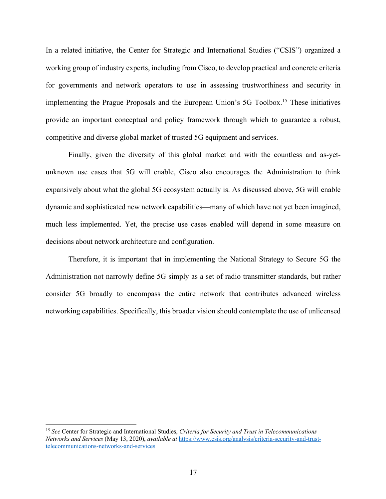In a related initiative, the Center for Strategic and International Studies ("CSIS") organized a working group of industry experts, including from Cisco, to develop practical and concrete criteria for governments and network operators to use in assessing trustworthiness and security in implementing the Prague Proposals and the European Union's 5G Toolbox.15 These initiatives provide an important conceptual and policy framework through which to guarantee a robust, competitive and diverse global market of trusted 5G equipment and services.

Finally, given the diversity of this global market and with the countless and as-yetunknown use cases that 5G will enable, Cisco also encourages the Administration to think expansively about what the global 5G ecosystem actually is. As discussed above, 5G will enable dynamic and sophisticated new network capabilities—many of which have not yet been imagined, much less implemented. Yet, the precise use cases enabled will depend in some measure on decisions about network architecture and configuration.

Therefore, it is important that in implementing the National Strategy to Secure 5G the Administration not narrowly define 5G simply as a set of radio transmitter standards, but rather consider 5G broadly to encompass the entire network that contributes advanced wireless networking capabilities. Specifically, this broader vision should contemplate the use of unlicensed

<sup>15</sup> *See* Center for Strategic and International Studies, *Criteria for Security and Trust in Telecommunications Networks and Services* (May 13, 2020), *available at* https://www.csis.org/analysis/criteria-security-and-trusttelecommunications-networks-and-services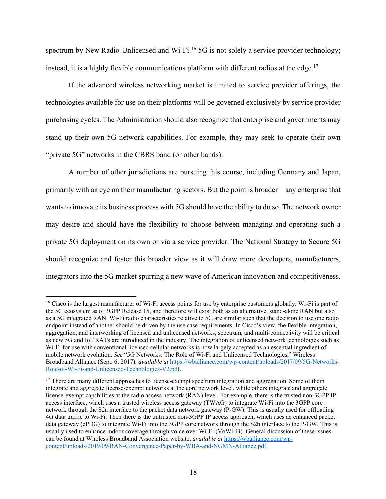spectrum by New Radio-Unlicensed and Wi-Fi.<sup>16</sup> 5G is not solely a service provider technology; instead, it is a highly flexible communications platform with different radios at the edge.<sup>17</sup>

If the advanced wireless networking market is limited to service provider offerings, the technologies available for use on their platforms will be governed exclusively by service provider purchasing cycles. The Administration should also recognize that enterprise and governments may stand up their own 5G network capabilities. For example, they may seek to operate their own "private 5G" networks in the CBRS band (or other bands).

A number of other jurisdictions are pursuing this course, including Germany and Japan, primarily with an eye on their manufacturing sectors. But the point is broader—any enterprise that wants to innovate its business process with 5G should have the ability to do so. The network owner may desire and should have the flexibility to choose between managing and operating such a private 5G deployment on its own or via a service provider. The National Strategy to Secure 5G should recognize and foster this broader view as it will draw more developers, manufacturers, integrators into the 5G market spurring a new wave of American innovation and competitiveness.

<sup>&</sup>lt;sup>16</sup> Cisco is the largest manufacturer of Wi-Fi access points for use by enterprise customers globally. Wi-Fi is part of the 5G ecosystem as of 3GPP Release 15, and therefore will exist both as an alternative, stand-alone RAN but also as a 5G integrated RAN. Wi-Fi radio characteristics relative to 5G are similar such that the decision to use one radio endpoint instead of another should be driven by the use case requirements. In Cisco's view, the flexible integration, aggregation, and interworking of licensed and unlicensed networks, spectrum, and multi-connectivity will be critical as new 5G and IoT RATs are introduced in the industry. The integration of unlicensed network technologies such as Wi-Fi for use with conventional licensed cellular networks is now largely accepted as an essential ingredient of mobile network evolution. *See* "5G Networks: The Role of Wi-Fi and Unlicensed Technologies," Wireless Broadband Alliance (Sept. 6, 2017), *available at* https://wballiance.com/wp-content/uploads/2017/09/5G-Networks-Role-of-Wi-Fi-and-Unlicensed-Technologies-V2.pdf.

<sup>&</sup>lt;sup>17</sup> There are many different approaches to license-exempt spectrum integration and aggregation. Some of them integrate and aggregate license-exempt networks at the core network level, while others integrate and aggregate license-exempt capabilities at the radio access network (RAN) level. For example, there is the trusted non-3GPP IP access interface, which uses a trusted wireless access gateway (TWAG) to integrate Wi-Fi into the 3GPP core network through the S2a interface to the packet data network gateway (P-GW). This is usually used for offloading 4G data traffic to Wi-Fi. Then there is the untrusted non-3GPP IP access approach, which uses an enhanced packet data gateway (ePDG) to integrate Wi-Fi into the 3GPP core network through the S2b interface to the P-GW. This is usually used to enhance indoor coverage through voice over Wi-Fi (VoWi-Fi). General discussion of these issues can be found at Wireless Broadband Association website, *available at* https://wballiance.com/wpcontent/uploads/2019/09/RAN-Convergence-Paper-by-WBA-and-NGMN-Alliance.pdf.